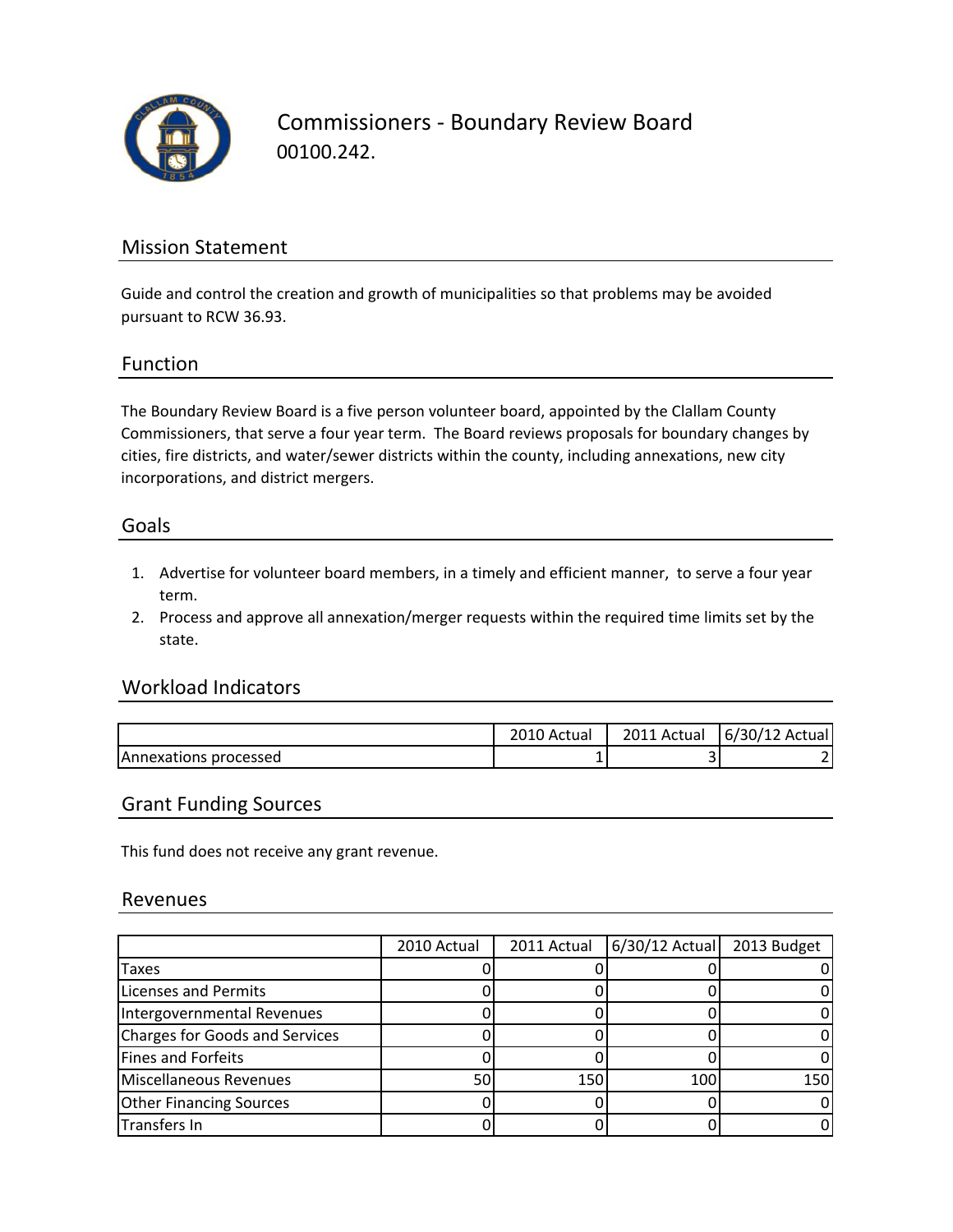

Commissioners ‐ Boundary Review Board 00100.242.

## Mission Statement

Guide and control the creation and growth of municipalities so that problems may be avoided pursuant to RCW 36.93.

### Function

The Boundary Review Board is a five person volunteer board, appointed by the Clallam County Commissioners, that serve a four year term. The Board reviews proposals for boundary changes by cities, fire districts, and water/sewer districts within the county, including annexations, new city incorporations, and district mergers.

#### Goals

- 1. Advertise for volunteer board members, in a timely and efficient manner, to serve a four year term.
- 2. Process and approve all annexation/merger requests within the required time limits set by the state.

### Workload Indicators

|                               | 2010 Actual | 2011 Actual | 6/30/12 Actual |
|-------------------------------|-------------|-------------|----------------|
| <b>IAnnexations processed</b> |             |             |                |

#### Grant Funding Sources

This fund does not receive any grant revenue.

#### Revenues

|                                       | 2010 Actual | 2011 Actual | 6/30/12 Actual 2013 Budget |     |
|---------------------------------------|-------------|-------------|----------------------------|-----|
| Taxes                                 |             |             |                            |     |
| <b>Licenses and Permits</b>           |             |             |                            |     |
| Intergovernmental Revenues            |             |             |                            |     |
| <b>Charges for Goods and Services</b> |             |             |                            |     |
| Fines and Forfeits                    |             |             |                            |     |
| Miscellaneous Revenues                | 50          | 150         | 100                        | 150 |
| <b>Other Financing Sources</b>        |             |             |                            |     |
| <b>Transfers In</b>                   |             |             |                            |     |